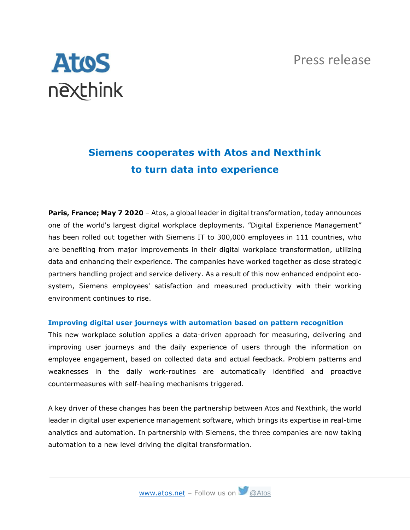## Press release

# **Atos** nexthink

# **Siemens cooperates with Atos and Nexthink to turn data into experience**

**Paris, France; May 7 2020** – Atos, a global leader in digital transformation, today announces one of the world's largest digital workplace deployments. "Digital Experience Management" has been rolled out together with Siemens IT to 300,000 employees in 111 countries, who are benefiting from major improvements in their digital workplace transformation, utilizing data and enhancing their experience. The companies have worked together as close strategic partners handling project and service delivery. As a result of this now enhanced endpoint ecosystem, Siemens employees' satisfaction and measured productivity with their working environment continues to rise.

#### **Improving digital user journeys with automation based on pattern recognition**

This new workplace solution applies a data-driven approach for measuring, delivering and improving user journeys and the daily experience of users through the information on employee engagement, based on collected data and actual feedback. Problem patterns and weaknesses in the daily work-routines are automatically identified and proactive countermeasures with self-healing mechanisms triggered.

A key driver of these changes has been the partnership between Atos and Nexthink, the world leader in digital user experience management software, which brings its expertise in real-time analytics and automation. In partnership with Siemens, the three companies are now taking automation to a new level driving the digital transformation.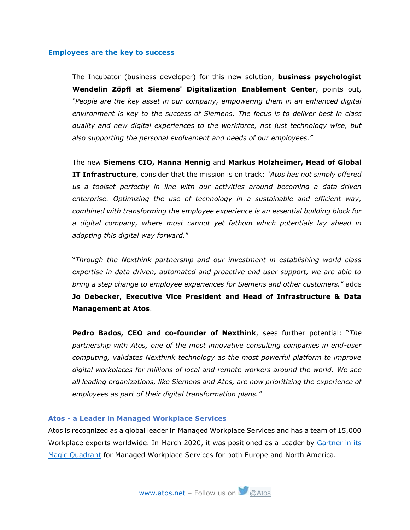#### **Employees are the key to success**

The Incubator (business developer) for this new solution, **business psychologist Wendelin Zöpfl at Siemens' Digitalization Enablement Center**, points out, *"People are the key asset in our company, empowering them in an enhanced digital environment is key to the success of Siemens. The focus is to deliver best in class quality and new digital experiences to the workforce, not just technology wise, but also supporting the personal evolvement and needs of our employees."*

The new **Siemens CIO, Hanna Hennig** and **Markus Holzheimer, Head of Global IT Infrastructure**, consider that the mission is on track: "*Atos has not simply offered us a toolset perfectly in line with our activities around becoming a data-driven enterprise. Optimizing the use of technology in a sustainable and efficient way, combined with transforming the employee experience is an essential building block for a digital company, where most cannot yet fathom which potentials lay ahead in adopting this digital way forward.*"

"*Through the Nexthink partnership and our investment in establishing world class expertise in data-driven, automated and proactive end user support, we are able to bring a step change to employee experiences for Siemens and other customers.*" adds **Jo Debecker, Executive Vice President and Head of Infrastructure & Data Management at Atos**.

**Pedro Bados, CEO and co-founder of Nexthink**, sees further potential: "*The partnership with Atos, one of the most innovative consulting companies in end-user computing, validates Nexthink technology as the most powerful platform to improve digital workplaces for millions of local and remote workers around the world. We see all leading organizations, like Siemens and Atos, are now prioritizing the experience of employees as part of their digital transformation plans."*

#### **Atos - a Leader in Managed Workplace Services**

Atos is recognized as a global leader in Managed Workplace Services and has a team of 15,000 Workplace experts worldwide. In March 2020, it was positioned as a Leader by [Gartner in its](https://atos.net/en/2020/press-release_2020_03_10/atos-positioned-as-a-leader-in-2020-gartner-magic-quadrant-for-managed-workplace-services-in-both-europe-and-north-america)  [Magic Quadrant](https://atos.net/en/2020/press-release_2020_03_10/atos-positioned-as-a-leader-in-2020-gartner-magic-quadrant-for-managed-workplace-services-in-both-europe-and-north-america) for Managed Workplace Services for both Europe and North America.